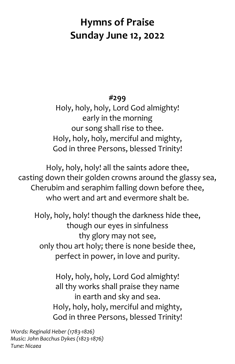## **Hymns of Praise Sunday June 12, 2022**

## **#299**

Holy, holy, holy, Lord God almighty! early in the morning our song shall rise to thee. Holy, holy, holy, merciful and mighty, God in three Persons, blessed Trinity!

Holy, holy, holy! all the saints adore thee, casting down their golden crowns around the glassy sea, Cherubim and seraphim falling down before thee, who wert and art and evermore shalt be.

Holy, holy, holy! though the darkness hide thee, though our eyes in sinfulness thy glory may not see, only thou art holy; there is none beside thee, perfect in power, in love and purity.

> Holy, holy, holy, Lord God almighty! all thy works shall praise they name in earth and sky and sea. Holy, holy, holy, merciful and mighty, God in three Persons, blessed Trinity!

*Words: Reginald Heber (1783-1826) Music: John Bacchus Dykes (1823-1876) Tune: Nicaea*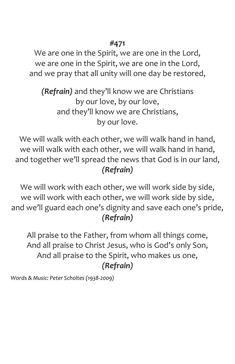We are one in the Spirit, we are one in the Lord, we are one in the Spirit, we are one in the Lord, and we pray that all unity will one day be restored,

*(Refrain)* and they'll know we are Christians by our love, by our love, and they'll know we are Christians, by our love.

We will walk with each other, we will walk hand in hand, we will walk with each other, we will walk hand in hand, and together we'll spread the news that God is in our land, *(Refrain)*

We will work with each other, we will work side by side, we will work with each other, we will work side by side, and we'll guard each one's dignity and save each one's pride, *(Refrain)*

All praise to the Father, from whom all things come, And all praise to Christ Jesus, who is God's only Son, And all praise to the Spirit, who makes us one, *(Refrain)*

*Words & Music: Peter Scholtes (1938-2009)*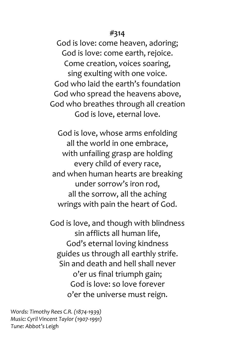God is love: come heaven, adoring; God is love: come earth, rejoice. Come creation, voices soaring, sing exulting with one voice. God who laid the earth's foundation God who spread the heavens above, God who breathes through all creation God is love, eternal love.

God is love, whose arms enfolding all the world in one embrace, with unfailing grasp are holding every child of every race, and when human hearts are breaking under sorrow's iron rod, all the sorrow, all the aching wrings with pain the heart of God.

God is love, and though with blindness sin afflicts all human life, God's eternal loving kindness guides us through all earthly strife. Sin and death and hell shall never o'er us final triumph gain; God is love: so love forever o'er the universe must reign.

*Words: Timothy Rees C.R. (1874-1939) Music: Cyril Vincent Taylor (1907-1991) Tune: Abbot's Leigh*